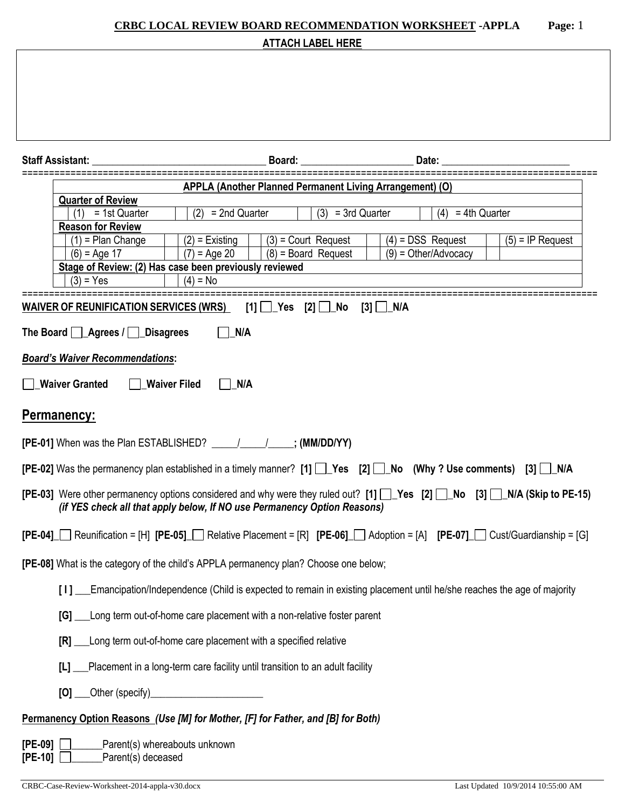| <b>CRBC LOCAL REVIEW BOARD RECOMMENDATION WORKSHEET - APPLA</b><br>Page: 1                                                                                                                           |  |  |  |  |  |
|------------------------------------------------------------------------------------------------------------------------------------------------------------------------------------------------------|--|--|--|--|--|
| <b>ATTACH LABEL HERE</b>                                                                                                                                                                             |  |  |  |  |  |
|                                                                                                                                                                                                      |  |  |  |  |  |
| Board:<br>Date:<br><b>Staff Assistant:</b>                                                                                                                                                           |  |  |  |  |  |
| <b>APPLA (Another Planned Permanent Living Arrangement) (O)</b>                                                                                                                                      |  |  |  |  |  |
| <b>Quarter of Review</b><br>$(2) = 2nd$ Quarter<br>$(3) = 3rd$ Quarter<br>$\overline{(4)}$ = 4th Quarter<br>$(1) = 1st$ Quarter                                                                      |  |  |  |  |  |
| <b>Reason for Review</b>                                                                                                                                                                             |  |  |  |  |  |
| $(4)$ = DSS Request<br>$(3)$ = Court Request<br>$(5)$ = IP Request<br>$(1)$ = Plan Change<br>$(2)$ = Existing<br>$(7) = Aqe 20$<br>$(8)$ = Board Request<br>$(9) = Other/Advocacy$<br>$(6) = Age 17$ |  |  |  |  |  |
| Stage of Review: (2) Has case been previously reviewed                                                                                                                                               |  |  |  |  |  |
| $(3) = Yes$<br>$(4) = No$                                                                                                                                                                            |  |  |  |  |  |
| <b>WAIVER OF REUNIFICATION SERVICES (WRS)</b><br>$[1]$ $\Box$ Yes $[2]$ $\Box$ No<br>$[3]$ $\Box$ N/A                                                                                                |  |  |  |  |  |
| The Board <b>Agrees</b> / <b>Disagrees</b><br>N/A                                                                                                                                                    |  |  |  |  |  |
| <b>Board's Waiver Recommendations:</b>                                                                                                                                                               |  |  |  |  |  |
| <b>Waiver Granted</b><br>N/A<br><b>Waiver Filed</b>                                                                                                                                                  |  |  |  |  |  |
| Permanency:                                                                                                                                                                                          |  |  |  |  |  |
| <b>[PE-01]</b> When was the Plan ESTABLISHED? $\frac{1}{\sqrt{2}}$ (MM/DD/YY)                                                                                                                        |  |  |  |  |  |
| <b>[PE-02]</b> Was the permanency plan established in a timely manner? $[1]$ $[$ Yes $[2]$ $[$ No (Why ? Use comments)<br>$\lceil 3 \rceil$<br>N/A                                                   |  |  |  |  |  |
| [PE-03] Were other permanency options considered and why were they ruled out? [1] Yes [2] No [3] NA (Skip to PE-15)<br>(if YES check all that apply below, If NO use Permanency Option Reasons)      |  |  |  |  |  |
| $[PE-04]$ Reunification = [H] $[PE-05]$ Relative Placement = [R] $[PE-06]$ Adoption = [A] $[PE-07]$ Cust/Guardianship = [G]                                                                          |  |  |  |  |  |
| [PE-08] What is the category of the child's APPLA permanency plan? Choose one below;                                                                                                                 |  |  |  |  |  |
| [1]<br>Emancipation/Independence (Child is expected to remain in existing placement until he/she reaches the age of majority                                                                         |  |  |  |  |  |
| [G]<br>Long term out-of-home care placement with a non-relative foster parent                                                                                                                        |  |  |  |  |  |
| [R]<br>Long term out-of-home care placement with a specified relative                                                                                                                                |  |  |  |  |  |
| Placement in a long-term care facility until transition to an adult facility<br>[L]                                                                                                                  |  |  |  |  |  |
|                                                                                                                                                                                                      |  |  |  |  |  |
| Permanency Option Reasons (Use [M] for Mother, [F] for Father, and [B] for Both)                                                                                                                     |  |  |  |  |  |
| Parent(s) whereabouts unknown<br>$[PE-09]$                                                                                                                                                           |  |  |  |  |  |

**[PE-10] \_\_\_\_\_\_**Parent(s) deceased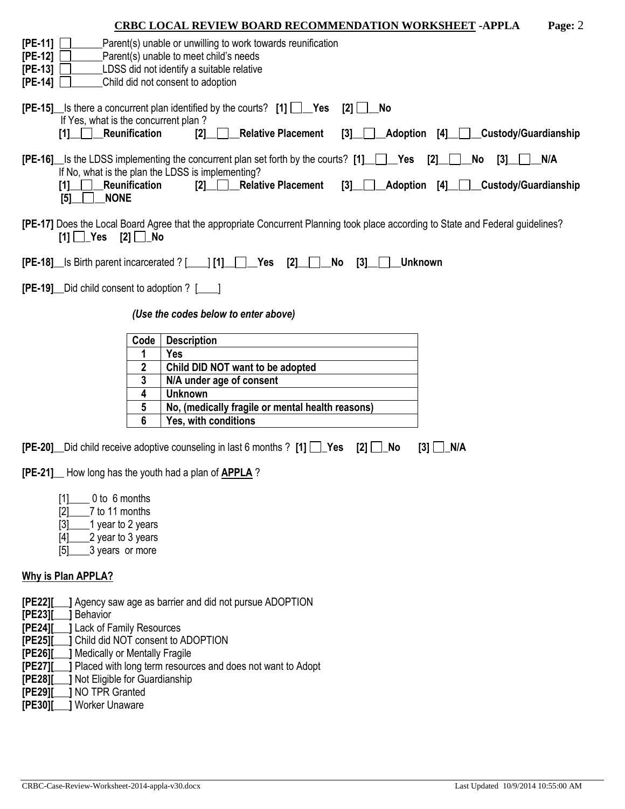|                                                                                           |                                                                                                                                                                     |                      | <b>CRBC LOCAL REVIEW BOARD RECOMMENDATION WORKSHEET - APPLA</b><br>Page: 2                                                                                                                                                                                                                                                                                                                                          |
|-------------------------------------------------------------------------------------------|---------------------------------------------------------------------------------------------------------------------------------------------------------------------|----------------------|---------------------------------------------------------------------------------------------------------------------------------------------------------------------------------------------------------------------------------------------------------------------------------------------------------------------------------------------------------------------------------------------------------------------|
| $[PE-11]$<br>$[PE-12]$<br>$[PE-13]$<br>$[PE-14]$                                          |                                                                                                                                                                     |                      | Parent(s) unable or unwilling to work towards reunification<br>Parent(s) unable to meet child's needs<br>LDSS did not identify a suitable relative<br>Child did not consent to adoption                                                                                                                                                                                                                             |
|                                                                                           | If Yes, what is the concurrent plan?<br>[1] Reunification                                                                                                           |                      | <b>[PE-15]</b> Is there a concurrent plan identified by the courts? $[1]$ $\Box$ Yes<br>[2]<br>No<br><b>Relative Placement</b><br>_Adoption [4]__ ___Custody/Guardianship<br>[2]<br>[3]                                                                                                                                                                                                                             |
|                                                                                           | [1]<br>[5]<br><b>NONE</b>                                                                                                                                           | <b>Reunification</b> | <b>[PE-16]</b> Is the LDSS implementing the concurrent plan set forth by the courts? [1]   Pes<br>[2]<br>N/A<br>No<br>[3]<br>If No, what is the plan the LDSS is implementing?<br><b>Relative Placement</b><br><b>Custody/Guardianship</b><br>$\begin{array}{ccc} \textbf{2} & \textbf{1} & \textbf{1} \\ \textbf{2} & \textbf{1} & \textbf{1} & \textbf{1} \end{array}$<br>_Adoption [4]_<br>[3]<br>$\blacksquare$ |
|                                                                                           | $[1]$ $Yes$ $[2]$ No                                                                                                                                                |                      | [PE-17] Does the Local Board Agree that the appropriate Concurrent Planning took place according to State and Federal guidelines?                                                                                                                                                                                                                                                                                   |
|                                                                                           |                                                                                                                                                                     |                      | $[PE-18]$ Is Birth parent incarcerated ? [1] [1] $\Box$ Yes<br>[2]<br>No<br>[3]<br><b>Unknown</b>                                                                                                                                                                                                                                                                                                                   |
|                                                                                           | <b>[PE-19]</b> Did child consent to adoption ? [169]                                                                                                                |                      |                                                                                                                                                                                                                                                                                                                                                                                                                     |
|                                                                                           |                                                                                                                                                                     |                      | (Use the codes below to enter above)                                                                                                                                                                                                                                                                                                                                                                                |
|                                                                                           |                                                                                                                                                                     | Code                 | <b>Description</b>                                                                                                                                                                                                                                                                                                                                                                                                  |
|                                                                                           |                                                                                                                                                                     | 1                    | Yes                                                                                                                                                                                                                                                                                                                                                                                                                 |
|                                                                                           |                                                                                                                                                                     | 2                    | Child DID NOT want to be adopted                                                                                                                                                                                                                                                                                                                                                                                    |
|                                                                                           |                                                                                                                                                                     | 3                    | N/A under age of consent                                                                                                                                                                                                                                                                                                                                                                                            |
|                                                                                           |                                                                                                                                                                     | 4                    | <b>Unknown</b>                                                                                                                                                                                                                                                                                                                                                                                                      |
|                                                                                           |                                                                                                                                                                     | 5                    | No, (medically fragile or mental health reasons)                                                                                                                                                                                                                                                                                                                                                                    |
|                                                                                           |                                                                                                                                                                     | 6                    | Yes, with conditions                                                                                                                                                                                                                                                                                                                                                                                                |
|                                                                                           |                                                                                                                                                                     |                      | <b>[PE-20]</b> Did child receive adoptive counseling in last 6 months ? [1]<br>$[3]$ $\Box$ N/A<br>$\lceil 2 \rceil$<br>No                                                                                                                                                                                                                                                                                          |
|                                                                                           |                                                                                                                                                                     |                      | <b>[PE-21]</b> How long has the youth had a plan of <b>APPLA</b> ?                                                                                                                                                                                                                                                                                                                                                  |
|                                                                                           | 0 to 6 months<br>$[1]$<br>$[2]$<br>7 to 11 months<br>[3]<br>1 year to 2 years<br>2 year to 3 years<br>$[4]$<br>[5]<br>3 years or more                               |                      |                                                                                                                                                                                                                                                                                                                                                                                                                     |
|                                                                                           | <b>Why is Plan APPLA?</b>                                                                                                                                           |                      |                                                                                                                                                                                                                                                                                                                                                                                                                     |
| [PE22][<br>[PE23]<br>[PE24]<br>[PE25]<br>[PE26]<br>[PE27][<br>[PE28]<br>[PE29]<br>[PE30][ | 1 Behavior<br><b>J Lack of Family Resources</b><br>Medically or Mentally Fragile<br>Not Eligible for Guardianship<br><b>NO TPR Granted</b><br><b>Worker Unaware</b> |                      | J Agency saw age as barrier and did not pursue ADOPTION<br>Child did NOT consent to ADOPTION<br>Placed with long term resources and does not want to Adopt                                                                                                                                                                                                                                                          |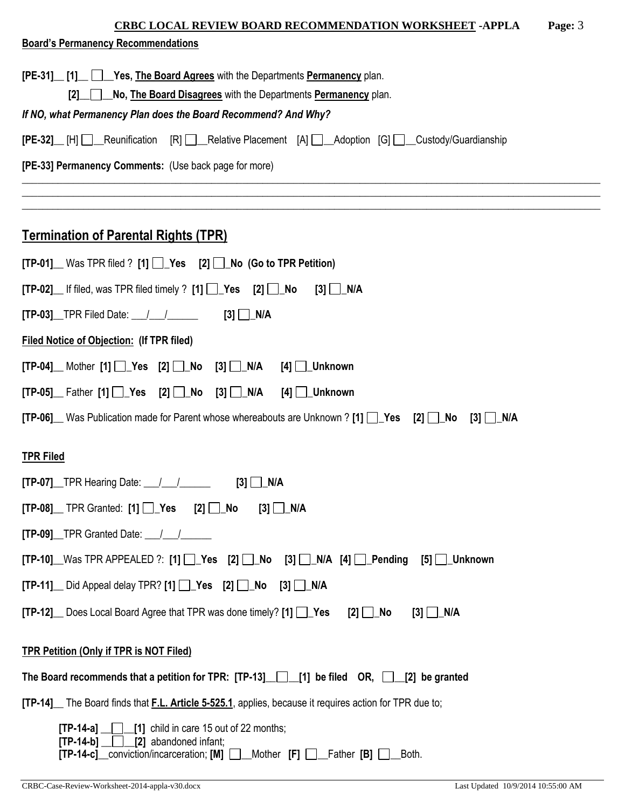| <b>CRBC LOCAL REVIEW BOARD RECOMMENDATION WORKSHEET - APPLA</b><br>Page: 3                                                                                                                     |  |
|------------------------------------------------------------------------------------------------------------------------------------------------------------------------------------------------|--|
| <b>Board's Permanency Recommendations</b>                                                                                                                                                      |  |
| [PE-31] [1] Yes, The Board Agrees with the Departments Permanency plan.                                                                                                                        |  |
| No, The Board Disagrees with the Departments Permanency plan.<br>[2]                                                                                                                           |  |
| If NO, what Permanency Plan does the Board Recommend? And Why?                                                                                                                                 |  |
| [PE-32] [H] Reunification [R] Relative Placement [A] Adoption [G] Custody/Guardianship                                                                                                         |  |
| [PE-33] Permanency Comments: (Use back page for more)                                                                                                                                          |  |
|                                                                                                                                                                                                |  |
| <b>Termination of Parental Rights (TPR)</b>                                                                                                                                                    |  |
| $[TP-01]$ Was TPR filed ? $[1]$ $\Box$ Yes $[2]$ $\Box$ No (Go to TPR Petition)                                                                                                                |  |
| $[TP-02]$ If filed, was TPR filed timely ? $[1]$ $\Box$ Yes $[2]$ $\Box$ No<br>$[3]$ $\Box$ N/A                                                                                                |  |
| $[3]$ $\Box$ N/A<br><b>[TP-03]</b> TPR Filed Date: $\frac{1}{1}$                                                                                                                               |  |
| <b>Filed Notice of Objection: (If TPR filed)</b>                                                                                                                                               |  |
| $[TP-04]$ Mother $[1]$ $\rightarrow$ Yes $[2]$ $\rightarrow$ No $[3]$ $\rightarrow$ N/A<br>$[4]$ $\Box$ Unknown                                                                                |  |
| $[TP-05]$ Father $[1]$ $\Box$ Yes $[2]$ $\Box$ No $[3]$ $\Box$ N/A<br>$[4]$ $\Box$ Unknown                                                                                                     |  |
| [TP-06] Was Publication made for Parent whose whereabouts are Unknown ? [1] Ves [2] No [3] N/A                                                                                                 |  |
| <b>TPR Filed</b>                                                                                                                                                                               |  |
| [3]<br>$[TP-07]$ TPR Hearing Date: $\frac{1}{\sqrt{2}}$<br>N/A                                                                                                                                 |  |
| $[TP-08]$ TPR Granted: $[1]$ $\Box$ Yes $[2]$ $\Box$ No<br>$[3]$ $\Box$ N/A                                                                                                                    |  |
| $[TP-09]$ TPR Granted Date: $\frac{1}{\sqrt{2}}$                                                                                                                                               |  |
| $[TP-10]$ Was TPR APPEALED ?: $[1]$ $[2]$ $[2]$ $[3]$ $[3]$ $[3]$ $[4]$ $[4]$ $[2]$ Pending<br>$[5]$   Unknown                                                                                 |  |
| $[TP-11]$ Did Appeal delay TPR? $[1]$ $\Box$ Yes $[2]$ $\Box$ No $[3]$ $\Box$ N/A                                                                                                              |  |
| <b>[TP-12]</b> Does Local Board Agree that TPR was done timely? [1] Pes<br>[2] ∐_No<br>$[3]$ $\Box$ N/A                                                                                        |  |
| <b>TPR Petition (Only if TPR is NOT Filed)</b>                                                                                                                                                 |  |
| The Board recommends that a petition for TPR: $[TP-13]$ [1] be filed OR, [2] be granted                                                                                                        |  |
| [TP-14] The Board finds that F.L. Article 5-525.1, applies, because it requires action for TPR due to;                                                                                         |  |
| $\lfloor \rfloor$ child in care 15 out of 22 months;<br>[TP-14-a]<br>$[TP-14-b]$ $[2]$ abandoned infant;<br>[TP-14-c]_conviction/incarceration; [M] [ _ _ Mother [F] [ _ _ Father [B]<br>Both. |  |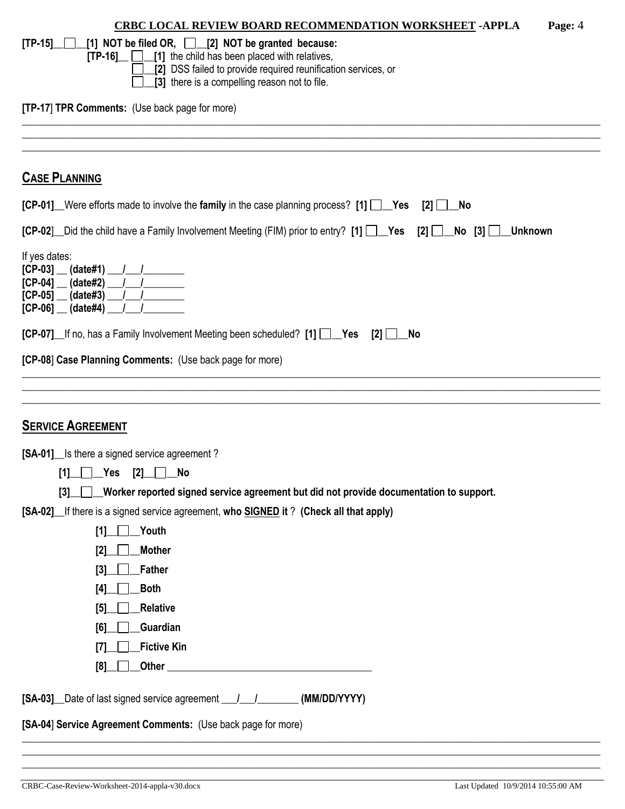| <b>CRBC LOCAL REVIEW BOARD RECOMMENDATION WORKSHEET - APPLA</b><br>Page: 4                                                           |
|--------------------------------------------------------------------------------------------------------------------------------------|
| $\lfloor$ [1] NOT be filed OR, $\lfloor$ $\rfloor$ [2] NOT be granted because:<br>$[TP-15]$                                          |
| $[TP-16]$ $\Box$ $[1]$ the child has been placed with relatives,                                                                     |
| [2] DSS failed to provide required reunification services, or<br>[3] there is a compelling reason not to file.                       |
|                                                                                                                                      |
| [TP-17] TPR Comments: (Use back page for more)                                                                                       |
|                                                                                                                                      |
| <b>CASE PLANNING</b>                                                                                                                 |
| [CP-01] Were efforts made to involve the family in the case planning process? [1] Yes [2] No                                         |
| [CP-02] Did the child have a Family Involvement Meeting (FIM) prior to entry? [1] Yes [2] No [3] Unknown                             |
| If yes dates:                                                                                                                        |
| $[CP-03]$ (date#1)                                                                                                                   |
| $[CP-04]$ (date#2)      <br>$[CP-05]$ (date#3)                                                                                       |
| $[CP-06]$ (date#4) __                                                                                                                |
| [CP-07] If no, has a Family Involvement Meeting been scheduled? [1] Yes [2] LAo                                                      |
|                                                                                                                                      |
| [CP-08] Case Planning Comments: (Use back page for more)                                                                             |
|                                                                                                                                      |
|                                                                                                                                      |
| <b>SERVICE AGREEMENT</b>                                                                                                             |
| [SA-01] Is there a signed service agreement?                                                                                         |
|                                                                                                                                      |
| Worker reported signed service agreement but did not provide documentation to support.<br>[3]                                        |
| [SA-02] If there is a signed service agreement, who SIGNED it? (Check all that apply)                                                |
| <b>Youth</b><br>[1]                                                                                                                  |
| <b>Mother</b><br>[2]                                                                                                                 |
| <b>Father</b><br>[3]                                                                                                                 |
| Both<br>[4]                                                                                                                          |
| <b>Relative</b><br>[5]                                                                                                               |
| Guardian<br>[6]                                                                                                                      |
| <b>Fictive Kin</b><br>[7]                                                                                                            |
| Other<br>[8]<br><u> 2000 - Jan James James James James James James James James James James James James James James James James J</u> |
|                                                                                                                                      |
| [SA-04] Service Agreement Comments: (Use back page for more)                                                                         |
|                                                                                                                                      |

\_\_\_\_\_\_\_\_\_\_\_\_\_\_\_\_\_\_\_\_\_\_\_\_\_\_\_\_\_\_\_\_\_\_\_\_\_\_\_\_\_\_\_\_\_\_\_\_\_\_\_\_\_\_\_\_\_\_\_\_\_\_\_\_\_\_\_\_\_\_\_\_\_\_\_\_\_\_\_\_\_\_\_\_\_\_\_\_\_\_\_\_\_\_\_\_\_\_\_\_\_\_\_\_\_\_\_\_\_\_\_\_\_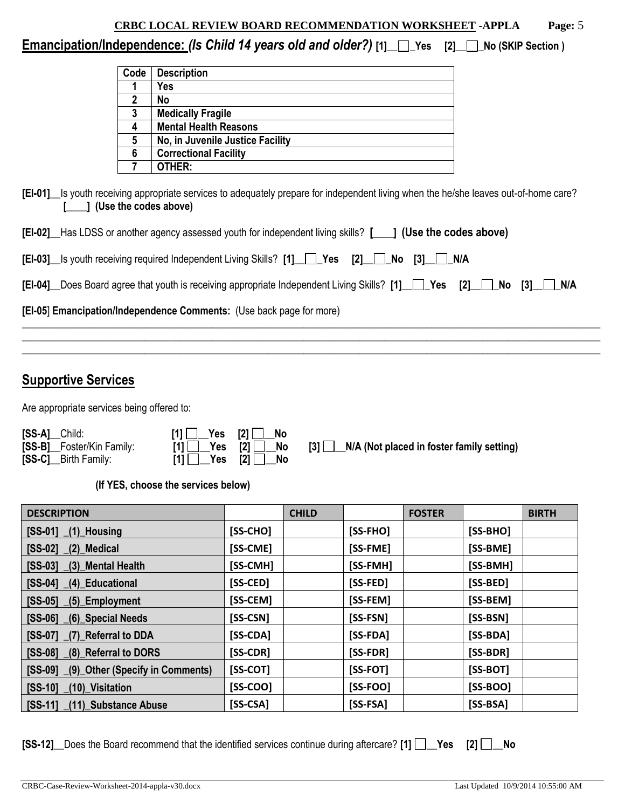# **Emancipation/Independence:** *(Is Child 14 years old and older?)* **[1]\_\_ \_Yes [2]\_\_ \_No (SKIP Section )**

| Code | <b>Description</b>               |
|------|----------------------------------|
|      | Yes                              |
| 2    | No                               |
| 3    | <b>Medically Fragile</b>         |
| 4    | <b>Mental Health Reasons</b>     |
| 5    | No, in Juvenile Justice Facility |
| 6    | <b>Correctional Facility</b>     |
|      | OTHER:                           |

**[EI-01]\_\_**Is youth receiving appropriate services to adequately prepare for independent living when the he/she leaves out-of-home care? **[\_\_\_\_] (Use the codes above)**

| [EI-05] Emancipation/Independence Comments: (Use back page for more)                                          |  |
|---------------------------------------------------------------------------------------------------------------|--|
| [EI-04] Does Board agree that youth is receiving appropriate Independent Living Skills? [1] Yes [2] No [3] NA |  |
| [EI-03] Is youth receiving required Independent Living Skills? [1] [CI-Ves [2] [CI-No [3] [CI-N/A             |  |
| [EI-02] Has LDSS or another agency assessed youth for independent living skills? [101] (Use the codes above)  |  |

\_\_\_\_\_\_\_\_\_\_\_\_\_\_\_\_\_\_\_\_\_\_\_\_\_\_\_\_\_\_\_\_\_\_\_\_\_\_\_\_\_\_\_\_\_\_\_\_\_\_\_\_\_\_\_\_\_\_\_\_\_\_\_\_\_\_\_\_\_\_\_\_\_\_\_\_\_\_\_\_\_\_\_\_\_\_\_\_\_\_\_\_\_\_\_\_\_\_\_\_\_\_\_\_\_\_\_\_\_\_\_\_\_

# **Supportive Services**

Are appropriate services being offered to:

| [SS-A]_Child:              | $\lceil 1 \rceil$ Yes $\lceil 2 \rceil$ No                                                                                                                                                               |                                                 |
|----------------------------|----------------------------------------------------------------------------------------------------------------------------------------------------------------------------------------------------------|-------------------------------------------------|
| [SS-B]__Foster/Kin Family: | $[1]$ $\Box$ Yes $[2]$ $\Box$ No                                                                                                                                                                         | $[3]$ N/A (Not placed in foster family setting) |
| [SS-C]__Birth Family:      | $[1]$ $\begin{array}{ c c c c c } \hline \end{array}$ $\begin{array}{ c c c c c } \hline \end{array}$ $\begin{array}{ c c c c c } \hline \end{array}$ $\begin{array}{ c c c c c } \hline \end{array}$ No |                                                 |

**(If YES, choose the services below)** 

| <b>DESCRIPTION</b>                      |            | <b>CHILD</b> |            | <b>FOSTER</b> |            | <b>BIRTH</b> |
|-----------------------------------------|------------|--------------|------------|---------------|------------|--------------|
| $[SS-01]$ $(1)$ Housing                 | $[SS-CHO]$ |              | [SS-FHO]   |               | $[SS-BHO]$ |              |
| $[SS-02]$ $(2)$ Medical                 | [SS-CME]   |              | [SS-FME]   |               | [SS-BME]   |              |
| [SS-03] (3) Mental Health               | [SS-CMH]   |              | [SS-FMH]   |               | [SS-BMH]   |              |
| $[SS-04]$<br>$(4)$ Educational          | [SS-CED]   |              | [SS-FED]   |               | [SS-BED]   |              |
| $[SS-05]$ $(5)$ Employment              | [SS-CEM]   |              | [SS-FEM]   |               | [SS-BEM]   |              |
| $[SS-06]$ $(6)$ Special Needs           | [SS-CSN]   |              | [SS-FSN]   |               | [SS-BSN]   |              |
| [SS-07] (7) Referral to DDA             | $[SS-CDA]$ |              | [SS-FDA]   |               | [SS-BDA]   |              |
| [SS-08] (8) Referral to DORS            | $[SS-CDR]$ |              | [SS-FDR]   |               | [SS-BDR]   |              |
| [SS-09] (9) Other (Specify in Comments) | $[SS-COT]$ |              | $[SS-FOT]$ |               | [SS-BOT]   |              |
| $[SS-10]$<br>(10) Visitation            | $[SS-COO]$ |              | $[SS-FOO]$ |               | $[SS-BOO]$ |              |
| [SS-11] (11) Substance Abuse            | $[SS-CSA]$ |              | $[SS-FSA]$ |               | $[SS-BSA]$ |              |

|  | [SS-12] Does the Board recommend that the identified services continue during aftercare? [1] $\Box$ Yes [2] $\Box$ No |  |  |  |
|--|-----------------------------------------------------------------------------------------------------------------------|--|--|--|
|  |                                                                                                                       |  |  |  |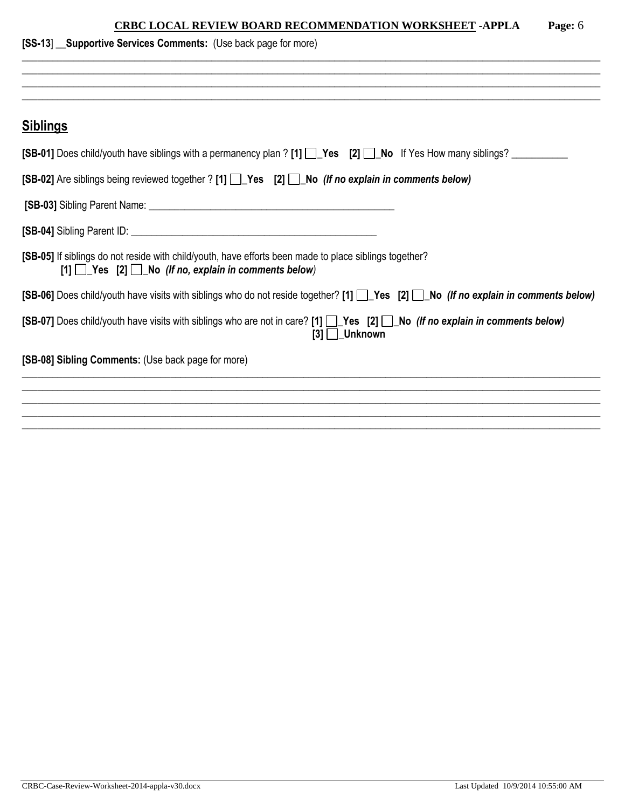| [SS-13] Supportive Services Comments: (Use back page for more)                                                                                                                |  |  |  |  |  |
|-------------------------------------------------------------------------------------------------------------------------------------------------------------------------------|--|--|--|--|--|
|                                                                                                                                                                               |  |  |  |  |  |
|                                                                                                                                                                               |  |  |  |  |  |
| <b>Siblings</b>                                                                                                                                                               |  |  |  |  |  |
| [SB-01] Does child/youth have siblings with a permanency plan ? [1] Yes [2] No If Yes How many siblings?                                                                      |  |  |  |  |  |
| [SB-02] Are siblings being reviewed together ? [1] [Subsectecter 2] [Subsecter of Are sides in comments below)                                                                |  |  |  |  |  |
|                                                                                                                                                                               |  |  |  |  |  |
|                                                                                                                                                                               |  |  |  |  |  |
| [SB-05] If siblings do not reside with child/youth, have efforts been made to place siblings together?<br>$[1]$ $\Box$ Yes $[2]$ $\Box$ No (If no, explain in comments below) |  |  |  |  |  |
| [SB-06] Does child/youth have visits with siblings who do not reside together? [1] T Yes [2] T No (If no explain in comments below)                                           |  |  |  |  |  |
| [SB-07] Does child/youth have visits with siblings who are not in care? [1] Yes [2] No (If no explain in comments below)<br>$[3]$ __Unknown                                   |  |  |  |  |  |
| [SB-08] Sibling Comments: (Use back page for more)                                                                                                                            |  |  |  |  |  |
|                                                                                                                                                                               |  |  |  |  |  |
|                                                                                                                                                                               |  |  |  |  |  |
|                                                                                                                                                                               |  |  |  |  |  |
|                                                                                                                                                                               |  |  |  |  |  |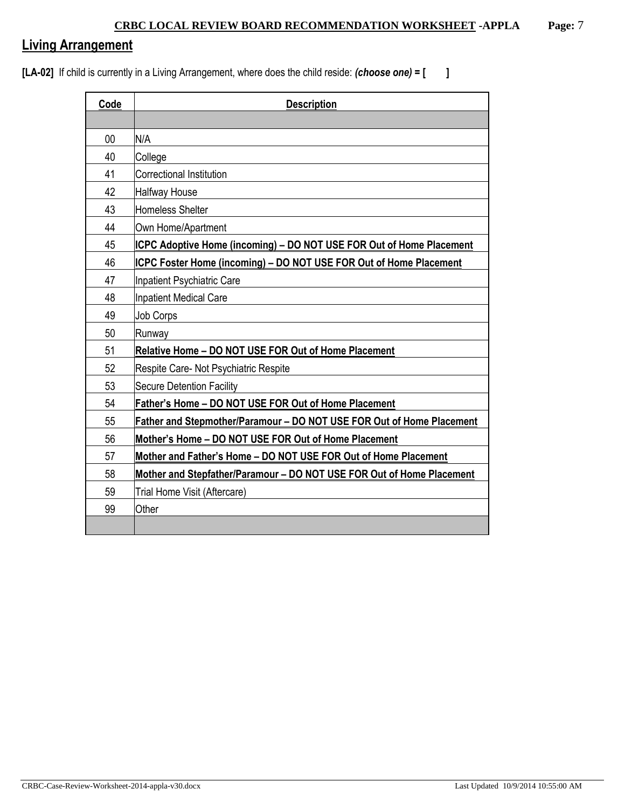# **Living Arrangement**

**[LA-02]** If child is currently in a Living Arrangement, where does the child reside: *(choose one)* **= [ ]**

| Code           | <b>Description</b>                                                        |  |  |  |  |
|----------------|---------------------------------------------------------------------------|--|--|--|--|
|                |                                                                           |  |  |  |  |
| 0 <sup>0</sup> | N/A                                                                       |  |  |  |  |
| 40             | College                                                                   |  |  |  |  |
| 41             | Correctional Institution                                                  |  |  |  |  |
| 42             | <b>Halfway House</b>                                                      |  |  |  |  |
| 43             | <b>Homeless Shelter</b>                                                   |  |  |  |  |
| 44             | Own Home/Apartment                                                        |  |  |  |  |
| 45             | ICPC Adoptive Home (incoming) – DO NOT USE FOR Out of Home Placement      |  |  |  |  |
| 46             | <b>ICPC Foster Home (incoming) - DO NOT USE FOR Out of Home Placement</b> |  |  |  |  |
| 47             | Inpatient Psychiatric Care                                                |  |  |  |  |
| 48             | <b>Inpatient Medical Care</b>                                             |  |  |  |  |
| 49             | <b>Job Corps</b>                                                          |  |  |  |  |
| 50             | Runway                                                                    |  |  |  |  |
| 51             | Relative Home - DO NOT USE FOR Out of Home Placement                      |  |  |  |  |
| 52             | Respite Care- Not Psychiatric Respite                                     |  |  |  |  |
| 53             | <b>Secure Detention Facility</b>                                          |  |  |  |  |
| 54             | Father's Home - DO NOT USE FOR Out of Home Placement                      |  |  |  |  |
| 55             | Father and Stepmother/Paramour - DO NOT USE FOR Out of Home Placement     |  |  |  |  |
| 56             | Mother's Home - DO NOT USE FOR Out of Home Placement                      |  |  |  |  |
| 57             | Mother and Father's Home - DO NOT USE FOR Out of Home Placement           |  |  |  |  |
| 58             | Mother and Stepfather/Paramour - DO NOT USE FOR Out of Home Placement     |  |  |  |  |
| 59             | Trial Home Visit (Aftercare)                                              |  |  |  |  |
| 99             | Other                                                                     |  |  |  |  |
|                |                                                                           |  |  |  |  |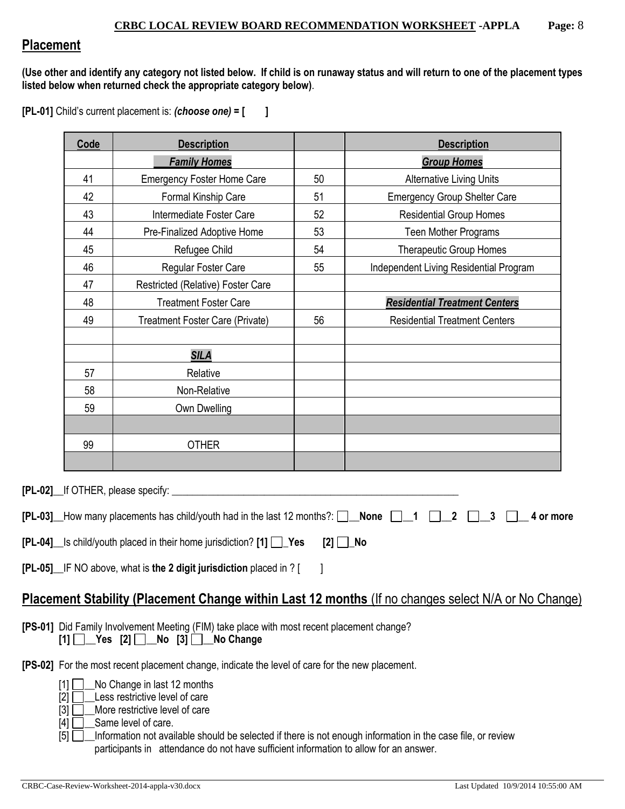## **Placement**

**(Use other and identify any category not listed below. If child is on runaway status and will return to one of the placement types listed below when returned check the appropriate category below)**.

**[PL-01]** Child's current placement is: *(choose one)* **= [ ]**

| Code<br><b>Description</b> |                                                                                                        |                                      | <b>Description</b>                                                                                  |  |
|----------------------------|--------------------------------------------------------------------------------------------------------|--------------------------------------|-----------------------------------------------------------------------------------------------------|--|
| <b>Family Homes</b>        |                                                                                                        |                                      | <b>Group Homes</b>                                                                                  |  |
| 41                         | <b>Emergency Foster Home Care</b>                                                                      | 50                                   | <b>Alternative Living Units</b>                                                                     |  |
| 42                         | Formal Kinship Care                                                                                    | 51                                   | <b>Emergency Group Shelter Care</b>                                                                 |  |
| 43                         | Intermediate Foster Care                                                                               | 52                                   | <b>Residential Group Homes</b>                                                                      |  |
| 44                         | Pre-Finalized Adoptive Home                                                                            | 53                                   | Teen Mother Programs                                                                                |  |
| 45                         | Refugee Child                                                                                          | 54<br><b>Therapeutic Group Homes</b> |                                                                                                     |  |
| 46                         | Regular Foster Care                                                                                    | 55                                   | Independent Living Residential Program                                                              |  |
| 47                         | Restricted (Relative) Foster Care                                                                      |                                      |                                                                                                     |  |
| 48                         | <b>Treatment Foster Care</b>                                                                           |                                      | <b>Residential Treatment Centers</b>                                                                |  |
| 49                         | Treatment Foster Care (Private)                                                                        | 56                                   | <b>Residential Treatment Centers</b>                                                                |  |
|                            |                                                                                                        |                                      |                                                                                                     |  |
|                            | <b>SILA</b>                                                                                            |                                      |                                                                                                     |  |
| 57                         | Relative                                                                                               |                                      |                                                                                                     |  |
| 58                         | Non-Relative                                                                                           |                                      |                                                                                                     |  |
| 59                         | Own Dwelling                                                                                           |                                      |                                                                                                     |  |
|                            |                                                                                                        |                                      |                                                                                                     |  |
| 99                         | <b>OTHER</b>                                                                                           |                                      |                                                                                                     |  |
|                            |                                                                                                        |                                      |                                                                                                     |  |
|                            |                                                                                                        |                                      |                                                                                                     |  |
|                            | [PL-02] lf OTHER, please specify:                                                                      |                                      |                                                                                                     |  |
|                            | [PL-03] How many placements has child/youth had in the last 12 months?: $\Box$ None $\Box$ 1           |                                      | $\overline{2}$<br>3<br>4 or more                                                                    |  |
|                            |                                                                                                        |                                      |                                                                                                     |  |
|                            | [PL-04]_ls child/youth placed in their home jurisdiction? [1] □ Yes                                    | $[2]$ $\Box$ No                      |                                                                                                     |  |
|                            | [PL-05] IF NO above, what is the 2 digit jurisdiction placed in ? [                                    |                                      |                                                                                                     |  |
|                            |                                                                                                        |                                      |                                                                                                     |  |
|                            |                                                                                                        |                                      | Placement Stability (Placement Change within Last 12 months (If no changes select N/A or No Change) |  |
|                            | [PS-01] Did Family Involvement Meeting (FIM) take place with most recent placement change?             |                                      |                                                                                                     |  |
|                            | $[1]$ Yes $[2]$ No $[3]$ No Change                                                                     |                                      |                                                                                                     |  |
|                            | <b>[PS-02]</b> For the most recent placement change, indicate the level of care for the new placement. |                                      |                                                                                                     |  |
|                            |                                                                                                        |                                      |                                                                                                     |  |
| $\lceil 1 \rceil$<br>[2] L | No Change in last 12 months<br>Less restrictive level of care                                          |                                      |                                                                                                     |  |
|                            |                                                                                                        |                                      |                                                                                                     |  |

- [3] **D**More restrictive level of care
- $[4]$   $\Box$  Same level of care.
- [5]  $\Box$  Information not available should be selected if there is not enough information in the case file, or review participants in attendance do not have sufficient information to allow for an answer.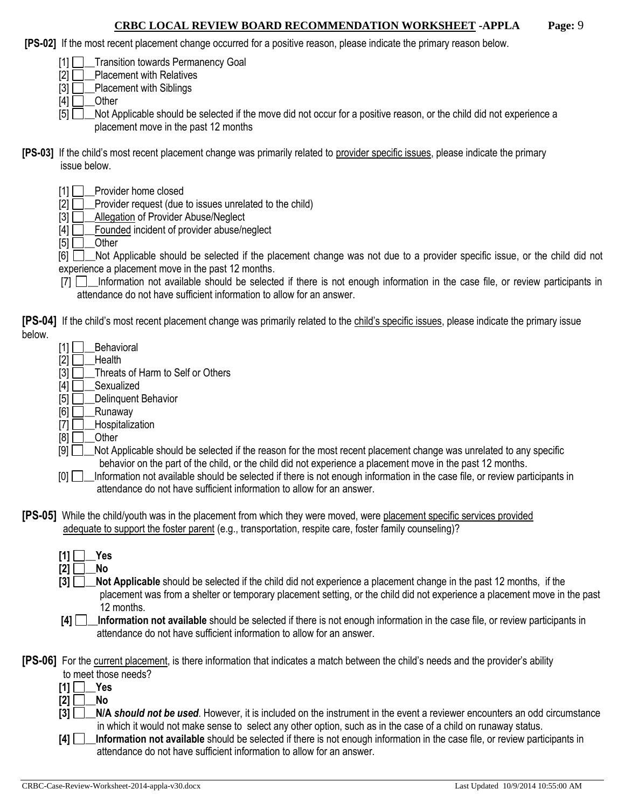**[PS-02]** If the most recent placement change occurred for a positive reason, please indicate the primary reason below.

[1] **Transition towards Permanency Goal** 

 $[2]$   $\Box$  Placement with Relatives

 $[3]$  Placement with Siblings

 $[4]$  Other

[5] Not Applicable should be selected if the move did not occur for a positive reason, or the child did not experience a placement move in the past 12 months

- **[PS-03]** If the child's most recent placement change was primarily related to provider specific issues, please indicate the primary issue below.
	- [1] Provider home closed
	- $[2]$   $\Box$  Provider request (due to issues unrelated to the child)
	- [3] **Allegation of Provider Abuse/Neglect**
	- $[4]$   $\Box$  Founded incident of provider abuse/neglect

 $[5]$  Other

[6]  $\Box$  Not Applicable should be selected if the placement change was not due to a provider specific issue, or the child did not experience a placement move in the past 12 months.

[7]  $\Box$  Information not available should be selected if there is not enough information in the case file, or review participants in attendance do not have sufficient information to allow for an answer.

**[PS-04]** If the child's most recent placement change was primarily related to the child's specific issues, please indicate the primary issue below.

- $[1]$  Behavioral
- $[2]$  Health

 $[3]$   $\Box$  Threats of Harm to Self or Others

- $[4]$   $\Box$  Sexualized<br> $[5]$   $\Box$  Delinquent l
	- Delinquent Behavior
- $[6]$  Runaway
- $[7]$  Hospitalization
- $[8]$   $\Box$  Other
- $[9]$  Not Applicable should be selected if the reason for the most recent placement change was unrelated to any specific behavior on the part of the child, or the child did not experience a placement move in the past 12 months.
- [0] Information not available should be selected if there is not enough information in the case file, or review participants in attendance do not have sufficient information to allow for an answer.
- **[PS-05]** While the child/youth was in the placement from which they were moved, were placement specific services provided adequate to support the foster parent (e.g., transportation, respite care, foster family counseling)?
	- **[1] \_\_Yes**  $[2]$  No

**[3]**  $\Box$  **Not Applicable** should be selected if the child did not experience a placement change in the past 12 months, if the placement was from a shelter or temporary placement setting, or the child did not experience a placement move in the past 12 months.

**[4] Information not available** should be selected if there is not enough information in the case file, or review participants in attendance do not have sufficient information to allow for an answer.

**[PS-06]** For the current placement, is there information that indicates a match between the child's needs and the provider's ability to meet those needs?

- $[1] \Box$  Yes
- $[2]$  No
- **[3] \_\_N/A** *should not be used*. However, it is included on the instrument in the event a reviewer encounters an odd circumstance in which it would not make sense to select any other option, such as in the case of a child on runaway status.
- **[4] \_\_Information not available** should be selected if there is not enough information in the case file, or review participants in attendance do not have sufficient information to allow for an answer.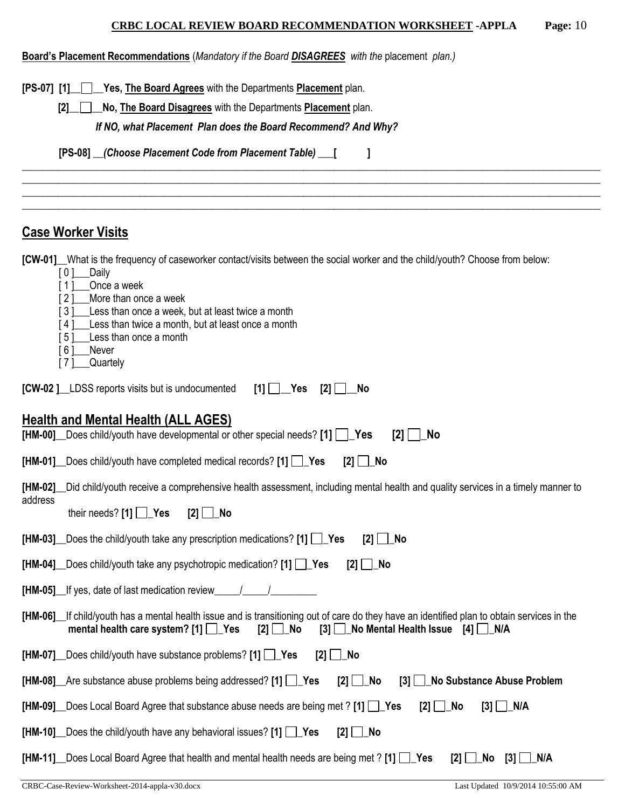|  | Board's Placement Recommendations (Mandatory if the Board <b>DISAGREES</b> with the placement plan.) |  |  |  |  |  |  |  |
|--|------------------------------------------------------------------------------------------------------|--|--|--|--|--|--|--|
|--|------------------------------------------------------------------------------------------------------|--|--|--|--|--|--|--|

**[PS-07] [1]\_\_ \_\_Yes, The Board Agrees** with the Departments **Placement** plan.

**[2]\_\_ \_\_No, The Board Disagrees** with the Departments **Placement** plan.

*If NO, what Placement Plan does the Board Recommend? And Why?*

**[PS-08] \_\_***(Choose Placement Code from Placement Table)* **\_\_\_[ ]**

# **Case Worker Visits**

**[CW-01]\_\_**What is the frequency of caseworker contact/visits between the social worker and the child/youth? Choose from below:

\_\_\_\_\_\_\_\_\_\_\_\_\_\_\_\_\_\_\_\_\_\_\_\_\_\_\_\_\_\_\_\_\_\_\_\_\_\_\_\_\_\_\_\_\_\_\_\_\_\_\_\_\_\_\_\_\_\_\_\_\_\_\_\_\_\_\_\_\_\_\_\_\_\_\_\_\_\_\_\_\_\_\_\_\_\_\_\_\_\_\_\_\_\_\_\_\_\_\_\_\_\_\_\_\_\_\_\_\_\_\_\_\_ \_\_\_\_\_\_\_\_\_\_\_\_\_\_\_\_\_\_\_\_\_\_\_\_\_\_\_\_\_\_\_\_\_\_\_\_\_\_\_\_\_\_\_\_\_\_\_\_\_\_\_\_\_\_\_\_\_\_\_\_\_\_\_\_\_\_\_\_\_\_\_\_\_\_\_\_\_\_\_\_\_\_\_\_\_\_\_\_\_\_\_\_\_\_\_\_\_\_\_\_\_\_\_\_\_\_\_\_\_\_\_\_\_ \_\_\_\_\_\_\_\_\_\_\_\_\_\_\_\_\_\_\_\_\_\_\_\_\_\_\_\_\_\_\_\_\_\_\_\_\_\_\_\_\_\_\_\_\_\_\_\_\_\_\_\_\_\_\_\_\_\_\_\_\_\_\_\_\_\_\_\_\_\_\_\_\_\_\_\_\_\_\_\_\_\_\_\_\_\_\_\_\_\_\_\_\_\_\_\_\_\_\_\_\_\_\_\_\_\_\_\_\_\_\_\_\_ \_\_\_\_\_\_\_\_\_\_\_\_\_\_\_\_\_\_\_\_\_\_\_\_\_\_\_\_\_\_\_\_\_\_\_\_\_\_\_\_\_\_\_\_\_\_\_\_\_\_\_\_\_\_\_\_\_\_\_\_\_\_\_\_\_\_\_\_\_\_\_\_\_\_\_\_\_\_\_\_\_\_\_\_\_\_\_\_\_\_\_\_\_\_\_\_\_\_\_\_\_\_\_\_\_\_\_\_\_\_\_\_\_

- [ 0 ]\_\_\_\_Daily
- [1] Once a week
- [ 2 ] More than once a week
- [3] Less than once a week, but at least twice a month
- [4] Less than twice a month, but at least once a month
- [5] Less than once a month
- [6] Never
- [ 7 ]\_\_\_Quartely

| $[CW-02]$ LDSS reports visits but is undocumented $[1]$ $[$ Yes $[2]$ $[$ No |  |  |
|------------------------------------------------------------------------------|--|--|

## **Health and Mental Health (ALL AGES)**

| No<br>[HM-00] _ Does child/youth have developmental or other special needs? [1] $\Box$ Yes<br>[2]                                                                                                                                               |
|-------------------------------------------------------------------------------------------------------------------------------------------------------------------------------------------------------------------------------------------------|
| $[HM-01]$ Does child/youth have completed medical records? $[1]$ Yes<br>$[2]$ No                                                                                                                                                                |
| [HM-02] Lid child/youth receive a comprehensive health assessment, including mental health and quality services in a timely manner to<br>address                                                                                                |
| their needs? $[1]$ $\Box$ Yes<br>$[2]$ No                                                                                                                                                                                                       |
| [HM-03] Does the child/youth take any prescription medications? [1] $\Box$ Yes<br>  No<br>$[2]$ $\Box$                                                                                                                                          |
| $[HM-04]$ Does child/youth take any psychotropic medication? $[1]$ Yes<br>$[2]$ No                                                                                                                                                              |
| [HM-05] If yes, date of last medication review                                                                                                                                                                                                  |
| [HM-06] If child/youth has a mental health issue and is transitioning out of care do they have an identified plan to obtain services in the<br>mental health care system? $[1]$ $\Box$ Yes<br>[2] ∐_No<br>[3] Solometrical Health Issue [4] N/A |
| [HM-07] _ Does child/youth have substance problems? [1] $\Box$ Yes<br>$[2]$ No                                                                                                                                                                  |
| [HM-08] $\Box$ Are substance abuse problems being addressed? [1] $\Box$ Yes<br>$[2]$ No<br>[3] No Substance Abuse Problem                                                                                                                       |
| [HM-09] _ Does Local Board Agree that substance abuse needs are being met ? [1] $\Box$ Yes<br>$[2]$ $\Box$ No<br>$[3]$ $\Box$ N/A                                                                                                               |
| [HM-10] Does the child/youth have any behavioral issues? [1] $\Box$ Yes<br>$[2]$ $\Box$ No                                                                                                                                                      |
| [HM-11] _Does Local Board Agree that health and mental health needs are being met ? [1] $\Box$ Yes<br>N/A<br>[2]<br>No<br>$[3]$                                                                                                                 |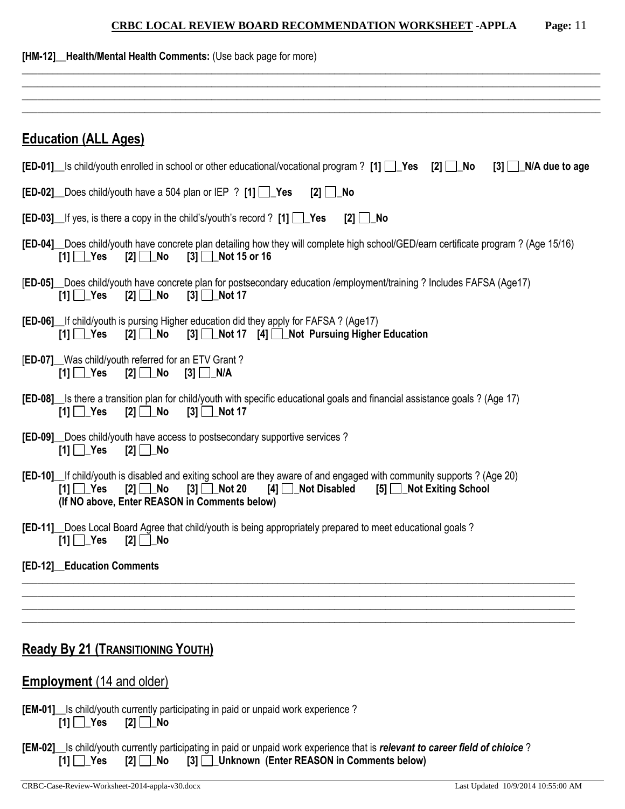| [HM-12] Health/Mental Health Comments: (Use back page for more)                                                                                                                                                                                                                |
|--------------------------------------------------------------------------------------------------------------------------------------------------------------------------------------------------------------------------------------------------------------------------------|
|                                                                                                                                                                                                                                                                                |
|                                                                                                                                                                                                                                                                                |
| <b>Education (ALL Ages)</b>                                                                                                                                                                                                                                                    |
| <b>[ED-01]</b> Is child/youth enrolled in school or other educational/vocational program ? [1] $\Box$ Yes [2] $\Box$ No<br>$[3]$ $\Box$ N/A due to age                                                                                                                         |
| <b>[ED-02]</b> Does child/youth have a 504 plan or IEP ? $[1]$ $\rightarrow$ Yes<br>$[2]$ $\Box$ No                                                                                                                                                                            |
| <b>[ED-03]</b> If yes, is there a copy in the child's/youth's record ? $[1]$ $\Box$ Yes<br>$[2]$ $\Box$ No                                                                                                                                                                     |
| [ED-04] Does child/youth have concrete plan detailing how they will complete high school/GED/earn certificate program? (Age 15/16)<br>$[1]$ $\Box$ Yes<br>$[3]$ Not 15 or 16                                                                                                   |
| [ED-05] Does child/youth have concrete plan for postsecondary education /employment/training ? Includes FAFSA (Age17)<br>$[1] \Box$ Yes<br>$[2]$ $\Box$ No<br>$[3]$   Not 17                                                                                                   |
| <b>[ED-06]</b> If child/youth is pursing Higher education did they apply for FAFSA? (Age17)<br>[3] Not 17 [4] Not Pursuing Higher Education<br>$[1]$ $\Box$ Yes<br>[2] ∐_No                                                                                                    |
| [ED-07] Was child/youth referred for an ETV Grant?<br>$[1] \ \blacksquare$ Yes<br>[3] <u>□ N</u> /A                                                                                                                                                                            |
| [ED-08] S there a transition plan for child/youth with specific educational goals and financial assistance goals? (Age 17)<br>$[1]$ $\Box$ Yes<br>$[2]$ $\Box$ No<br>$[3]$ Mot 17                                                                                              |
| [ED-09] Does child/youth have access to postsecondary supportive services?<br>$[1]$ $\Box$ Yes<br>[2] ∐_No                                                                                                                                                                     |
| [ED-10] If child/youth is disabled and exiting school are they aware of and engaged with community supports? (Age 20)<br>$[1]$ $\Box$ Yes<br>$[2]$ No<br>$[3]$ Not 20<br>[4]<br><b>Not Disabled</b><br>[5] Not Exiting School<br>(If NO above, Enter REASON in Comments below) |
| [ED-11] Does Local Board Agree that child/youth is being appropriately prepared to meet educational goals?<br>$[1]$ $\Box$ Yes<br>$[2]$ No                                                                                                                                     |
| [ED-12] Education Comments                                                                                                                                                                                                                                                     |
|                                                                                                                                                                                                                                                                                |
|                                                                                                                                                                                                                                                                                |
| <b>Ready By 21 (TRANSITIONING YOUTH)</b>                                                                                                                                                                                                                                       |
| <b>Employment</b> (14 and older)                                                                                                                                                                                                                                               |
| [EM-01] Is child/youth currently participating in paid or unpaid work experience?<br>$[1]$ $Yes$ $[2]$ No                                                                                                                                                                      |
| [EM-02] Is child/youth currently participating in paid or unpaid work experience that is relevant to career field of chioice?                                                                                                                                                  |

**[1] \_Yes [2] \_No [3] \_Unknown (Enter REASON in Comments below)**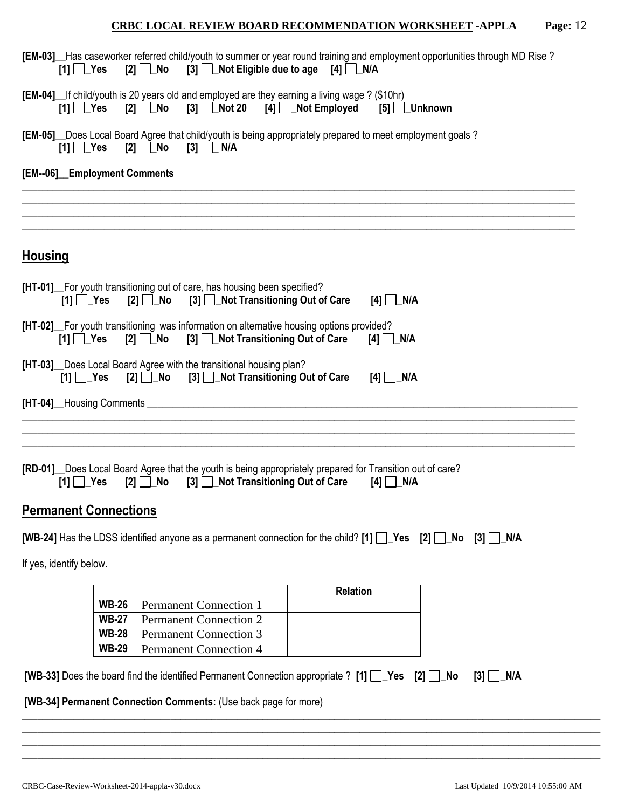| [EM-03] Has caseworker referred child/youth to summer or year round training and employment opportunities through MD Rise?<br>$[2]$ No $[3]$ Not Eligible due to age $[4]$ N/A<br>$[1]$ $\Box$ Yes |                  |
|----------------------------------------------------------------------------------------------------------------------------------------------------------------------------------------------------|------------------|
| [EM-04] If child/youth is 20 years old and employed are they earning a living wage ? (\$10hr)<br>$[2]$ No $[3]$ Not 20 $[4]$ Not Employed<br>$[1] \square$ Yes                                     | $[5]$ Unknown    |
| [EM-05] _ Does Local Board Agree that child/youth is being appropriately prepared to meet employment goals?<br>$[1]$ Yes                                                                           |                  |
| [EM--06]_Employment Comments                                                                                                                                                                       |                  |
| <b>Housing</b>                                                                                                                                                                                     |                  |
| [HT-01] For youth transitioning out of care, has housing been specified?<br>[3] Not Transitioning Out of Care<br>$[2]$ $\Box$ No<br>$[1]$ $\Box$ Yes                                               | $[4]$ N/A        |
| [HT-02] For youth transitioning was information on alternative housing options provided?<br>[2] No [3] Not Transitioning Out of Care<br>$[1]$ $\Box$ Yes                                           | $[4]$ N/A        |
| [HT-03] Does Local Board Agree with the transitional housing plan?<br>[2] No [3] Not Transitioning Out of Care<br>$[1]$ $\Box$ Yes                                                                 | $[4]$ N/A        |
|                                                                                                                                                                                                    |                  |
| [RD-01] Does Local Board Agree that the youth is being appropriately prepared for Transition out of care?<br>$\lceil 3 \rceil$ Not Transitioning Out of Care<br>$[1]$ $\Box$ Yes<br>$[2] \Box$ No  | $[4]$ N/A        |
| <b>Permanent Connections</b>                                                                                                                                                                       |                  |
| [WB-24] Has the LDSS identified anyone as a permanent connection for the child? [1] $\Box$ Yes [2] $\Box$ No [3] $\Box$ N/A                                                                        |                  |
| If yes, identify below.                                                                                                                                                                            |                  |
|                                                                                                                                                                                                    | <b>Relation</b>  |
| <b>WB-26</b><br><b>Permanent Connection 1</b>                                                                                                                                                      |                  |
| <b>WB-27</b><br><b>Permanent Connection 2</b>                                                                                                                                                      |                  |
| <b>WB-28</b><br><b>Permanent Connection 3</b>                                                                                                                                                      |                  |
| <b>WB-29</b><br><b>Permanent Connection 4</b>                                                                                                                                                      |                  |
| [WB-33] Does the board find the identified Permanent Connection appropriate ? [1] Pes [2] LNo                                                                                                      | $[3]$ $\Box$ N/A |
| [WB-34] Permanent Connection Comments: (Use back page for more)                                                                                                                                    |                  |
|                                                                                                                                                                                                    |                  |
|                                                                                                                                                                                                    |                  |
|                                                                                                                                                                                                    |                  |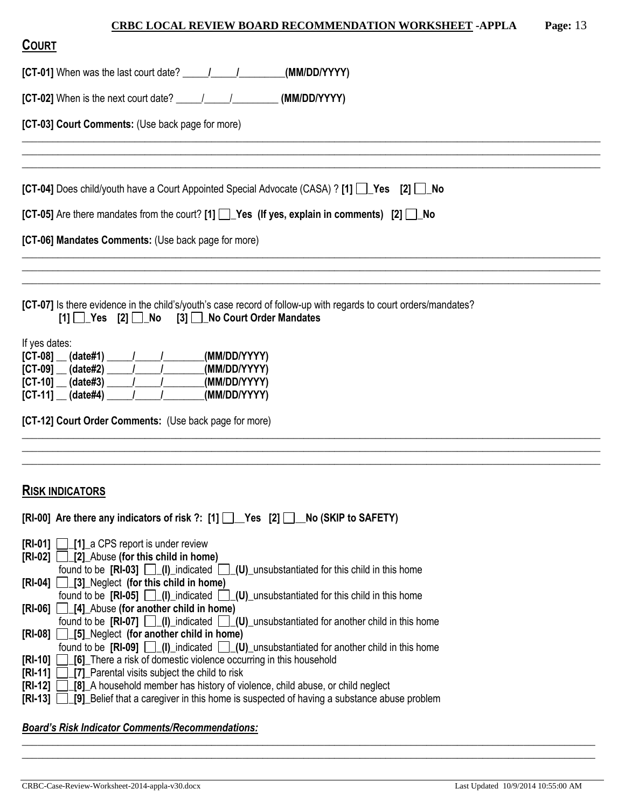\_\_\_\_\_\_\_\_\_\_\_\_\_\_\_\_\_\_\_\_\_\_\_\_\_\_\_\_\_\_\_\_\_\_\_\_\_\_\_\_\_\_\_\_\_\_\_\_\_\_\_\_\_\_\_\_\_\_\_\_\_\_\_\_\_\_\_\_\_\_\_\_\_\_\_\_\_\_\_\_\_\_\_\_\_\_\_\_\_\_\_\_\_\_\_\_\_\_\_\_\_\_\_\_\_\_\_\_\_\_\_\_\_ \_\_\_\_\_\_\_\_\_\_\_\_\_\_\_\_\_\_\_\_\_\_\_\_\_\_\_\_\_\_\_\_\_\_\_\_\_\_\_\_\_\_\_\_\_\_\_\_\_\_\_\_\_\_\_\_\_\_\_\_\_\_\_\_\_\_\_\_\_\_\_\_\_\_\_\_\_\_\_\_\_\_\_\_\_\_\_\_\_\_\_\_\_\_\_\_\_\_\_\_\_\_\_\_\_\_\_\_\_\_\_\_\_ \_\_\_\_\_\_\_\_\_\_\_\_\_\_\_\_\_\_\_\_\_\_\_\_\_\_\_\_\_\_\_\_\_\_\_\_\_\_\_\_\_\_\_\_\_\_\_\_\_\_\_\_\_\_\_\_\_\_\_\_\_\_\_\_\_\_\_\_\_\_\_\_\_\_\_\_\_\_\_\_\_\_\_\_\_\_\_\_\_\_\_\_\_\_\_\_\_\_\_\_\_\_\_\_\_\_\_\_\_\_\_\_\_

\_\_\_\_\_\_\_\_\_\_\_\_\_\_\_\_\_\_\_\_\_\_\_\_\_\_\_\_\_\_\_\_\_\_\_\_\_\_\_\_\_\_\_\_\_\_\_\_\_\_\_\_\_\_\_\_\_\_\_\_\_\_\_\_\_\_\_\_\_\_\_\_\_\_\_\_\_\_\_\_\_\_\_\_\_\_\_\_\_\_\_\_\_\_\_\_\_\_\_\_\_\_\_\_\_\_\_\_\_\_\_\_\_ \_\_\_\_\_\_\_\_\_\_\_\_\_\_\_\_\_\_\_\_\_\_\_\_\_\_\_\_\_\_\_\_\_\_\_\_\_\_\_\_\_\_\_\_\_\_\_\_\_\_\_\_\_\_\_\_\_\_\_\_\_\_\_\_\_\_\_\_\_\_\_\_\_\_\_\_\_\_\_\_\_\_\_\_\_\_\_\_\_\_\_\_\_\_\_\_\_\_\_\_\_\_\_\_\_\_\_\_\_\_\_\_\_ \_\_\_\_\_\_\_\_\_\_\_\_\_\_\_\_\_\_\_\_\_\_\_\_\_\_\_\_\_\_\_\_\_\_\_\_\_\_\_\_\_\_\_\_\_\_\_\_\_\_\_\_\_\_\_\_\_\_\_\_\_\_\_\_\_\_\_\_\_\_\_\_\_\_\_\_\_\_\_\_\_\_\_\_\_\_\_\_\_\_\_\_\_\_\_\_\_\_\_\_\_\_\_\_\_\_\_\_\_\_\_\_\_

\_\_\_\_\_\_\_\_\_\_\_\_\_\_\_\_\_\_\_\_\_\_\_\_\_\_\_\_\_\_\_\_\_\_\_\_\_\_\_\_\_\_\_\_\_\_\_\_\_\_\_\_\_\_\_\_\_\_\_\_\_\_\_\_\_\_\_\_\_\_\_\_\_\_\_\_\_\_\_\_\_\_\_\_\_\_\_\_\_\_\_\_\_\_\_\_\_\_\_\_\_\_\_\_\_\_\_\_\_\_\_\_\_ \_\_\_\_\_\_\_\_\_\_\_\_\_\_\_\_\_\_\_\_\_\_\_\_\_\_\_\_\_\_\_\_\_\_\_\_\_\_\_\_\_\_\_\_\_\_\_\_\_\_\_\_\_\_\_\_\_\_\_\_\_\_\_\_\_\_\_\_\_\_\_\_\_\_\_\_\_\_\_\_\_\_\_\_\_\_\_\_\_\_\_\_\_\_\_\_\_\_\_\_\_\_\_\_\_\_\_\_\_\_\_\_\_ \_\_\_\_\_\_\_\_\_\_\_\_\_\_\_\_\_\_\_\_\_\_\_\_\_\_\_\_\_\_\_\_\_\_\_\_\_\_\_\_\_\_\_\_\_\_\_\_\_\_\_\_\_\_\_\_\_\_\_\_\_\_\_\_\_\_\_\_\_\_\_\_\_\_\_\_\_\_\_\_\_\_\_\_\_\_\_\_\_\_\_\_\_\_\_\_\_\_\_\_\_\_\_\_\_\_\_\_\_\_\_\_\_

\_\_\_\_\_\_\_\_\_\_\_\_\_\_\_\_\_\_\_\_\_\_\_\_\_\_\_\_\_\_\_\_\_\_\_\_\_\_\_\_\_\_\_\_\_\_\_\_\_\_\_\_\_\_\_\_\_\_\_\_\_\_\_\_\_\_\_\_\_\_\_\_\_\_\_\_\_\_\_\_\_\_\_\_\_\_\_\_\_\_\_\_\_\_\_\_\_\_\_\_\_\_\_\_\_\_\_\_\_\_\_\_

**[CT-01]** When was the last court date? **\_\_\_\_\_/\_\_\_\_\_/\_\_\_\_\_\_\_\_\_(MM/DD/YYYY)**

**[CT-02]** When is the next court date? \_\_\_\_\_/\_\_\_\_\_/\_\_\_\_\_\_\_\_\_ **(MM/DD/YYYY)**

**[CT-03] Court Comments:** (Use back page for more)

**[CT-04]** Does child/youth have a Court Appointed Special Advocate (CASA) ? **[1]** Yes **[2]** No

| [CT-05] Are there mandates from the court? [1] $\Box$ Yes (If yes, explain in comments) [2] $\Box$ No |  |  |
|-------------------------------------------------------------------------------------------------------|--|--|
|-------------------------------------------------------------------------------------------------------|--|--|

**[CT-06] Mandates Comments:** (Use back page for more)

**[CT-07]** Is there evidence in the child's/youth's case record of follow-up with regards to court orders/mandates? **[1] \_Yes [2] \_No [3] \_No Court Order Mandates**

If yes dates:

| $[CT-08]$<br>(date#1) | (MM/DD/YYYY) |
|-----------------------|--------------|
| $[CT-09]$<br>(date#2) | (MM/DD/YYYY) |
| $[CI-10]$<br>(data#3) | (MM/DD/YYYY) |
| $[CI-11]$<br>(data#4) | (MM/DD/YYYY) |

### **RISK INDICATORS**

 $[RI-00]$  Are there any indicators of risk ?:  $[1]$   $[$  Yes  $[2]$   $[$  No (SKIP to SAFETY) **[RI-01] [1]** a CPS report is under review **[RI-02] \_[2]\_**Abuse **(for this child in home)** found to be **[RI-03]**  $\Box$  (I) indicated  $\Box$  (U) unsubstantiated for this child in this home **[RI-04] \_[3]\_**Neglect **(for this child in home)** found to be **[RI-05]**  $\Box$  (I) indicated  $\Box$  (U) unsubstantiated for this child in this home **[RI-06] \_[4]\_**Abuse **(for another child in home)** found to be **[RI-07]**  $\Box$  (I) indicated  $\Box$  (U) unsubstantiated for another child in this home **[RI-08] \_[5]\_**Neglect **(for another child in home)** found to be **[RI-09]**  $\Box$ (I)\_indicated  $\Box$ (U)\_unsubstantiated for another child in this home **[RI-10] \_[6]\_**There a risk of domestic violence occurring in this household **[RI-11] \_[7]\_**Parental visits subject the child to risk **[RI-12]**  $\boxed{3}$  **[8]** A household member has history of violence, child abuse, or child neglect **[RI-13] 191** Belief that a caregiver in this home is suspected of having a substance abuse problem

#### *Board's Risk Indicator Comments/Recommendations:*  \_\_\_\_\_\_\_\_\_\_\_\_\_\_\_\_\_\_\_\_\_\_\_\_\_\_\_\_\_\_\_\_\_\_\_\_\_\_\_\_\_\_\_\_\_\_\_\_\_\_\_\_\_\_\_\_\_\_\_\_\_\_\_\_\_\_\_\_\_\_\_\_\_\_\_\_\_\_\_\_\_\_\_\_\_\_\_\_\_\_\_\_\_\_\_\_\_\_\_\_\_\_\_\_\_\_\_\_\_\_\_\_